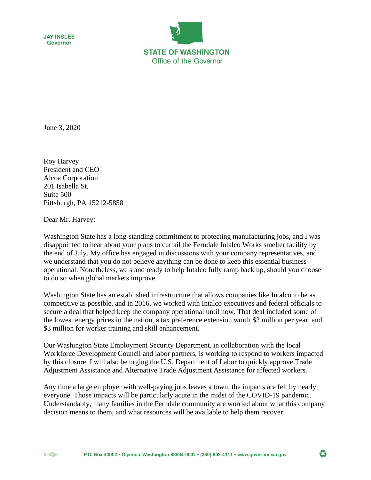



June 3, 2020

Roy Harvey President and CEO Alcoa Corporation 201 Isabella St. Suite 500 Pittsburgh, PA 15212-5858

Dear Mr. Harvey:

Washington State has a long-standing commitment to protecting manufacturing jobs, and I was disappointed to hear about your plans to curtail the Ferndale Intalco Works smelter facility by the end of July. My office has engaged in discussions with your company representatives, and we understand that you do not believe anything can be done to keep this essential business operational. Nonetheless, we stand ready to help Intalco fully ramp back up, should you choose to do so when global markets improve.

Washington State has an established infrastructure that allows companies like Intalco to be as competitive as possible, and in 2016, we worked with Intalco executives and federal officials to secure a deal that helped keep the company operational until now. That deal included some of the lowest energy prices in the nation, a tax preference extension worth \$2 million per year, and \$3 million for worker training and skill enhancement.

Our Washington State Employment Security Department, in collaboration with the local Workforce Development Council and labor partners, is working to respond to workers impacted by this closure. I will also be urging the U.S. Department of Labor to quickly approve Trade Adjustment Assistance and Alternative Trade Adjustment Assistance for affected workers.

Any time a large employer with well-paying jobs leaves a town, the impacts are felt by nearly everyone. Those impacts will be particularly acute in the midst of the COVID-19 pandemic. Understandably, many families in the Ferndale community are worried about what this company decision means to them, and what resources will be available to help them recover.